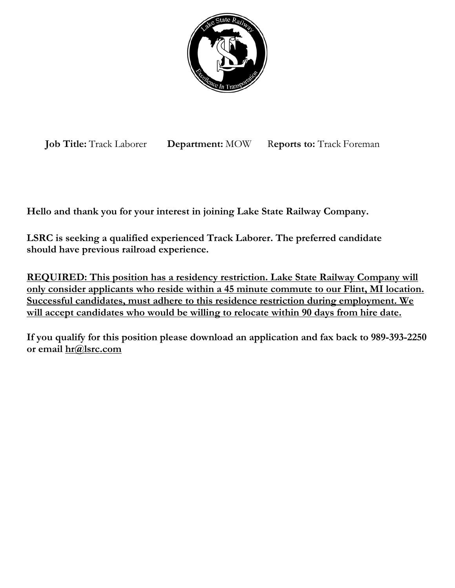

**Job Title:** Track Laborer **Department:** MOW R**eports to:** Track Foreman

**Hello and thank you for your interest in joining Lake State Railway Company.**

**LSRC is seeking a qualified experienced Track Laborer. The preferred candidate should have previous railroad experience.**

**REQUIRED: This position has a residency restriction. Lake State Railway Company will only consider applicants who reside within a 45 minute commute to our Flint, MI location. Successful candidates, must adhere to this residence restriction during employment. We will accept candidates who would be willing to relocate within 90 days from hire date.**

**If you qualify for this position please download an application and fax back to 989-393-2250 or email [hr@lsrc.com](mailto:hr@lsrc.com)**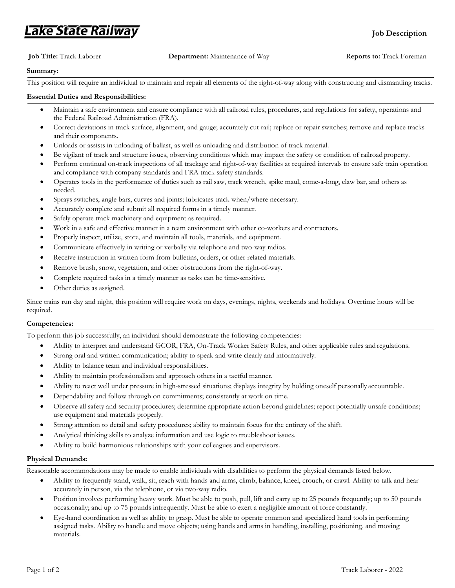## .ake State Railway

## **Job Title:** Track Laborer **Department:** Maintenance of Way R**eports to:** Track Foreman

## **Summary:**

This position will require an individual to maintain and repair all elements of the right-of-way along with constructing and dismantling tracks.

## **Essential Duties and Responsibilities:**

- Maintain a safe environment and ensure compliance with all railroad rules, procedures, and regulations for safety, operations and the Federal Railroad Administration (FRA).
- Correct deviations in track surface, alignment, and gauge; accurately cut rail; replace or repair switches; remove and replace tracks and their components.
- Unloads or assists in unloading of ballast, as well as unloading and distribution of track material.
- Be vigilant of track and structure issues, observing conditions which may impact the safety or condition of railroad property.
- Perform continual on-track inspections of all trackage and right-of-way facilities at required intervals to ensure safe train operation and compliance with company standards and FRA track safety standards.
- Operates tools in the performance of duties such as rail saw, track wrench, spike maul, come-a-long, claw bar, and others as needed.
- Sprays switches, angle bars, curves and joints; lubricates track when/where necessary.
- Accurately complete and submit all required forms in a timely manner.
- Safely operate track machinery and equipment as required.
- Work in a safe and effective manner in a team environment with other co-workers and contractors.
- Properly inspect, utilize, store, and maintain all tools, materials, and equipment.
- Communicate effectively in writing or verbally via telephone and two-way radios.
- Receive instruction in written form from bulletins, orders, or other related materials.
- Remove brush, snow, vegetation, and other obstructions from the right-of-way.
- Complete required tasks in a timely manner as tasks can be time-sensitive.
- Other duties as assigned.

Since trains run day and night, this position will require work on days, evenings, nights, weekends and holidays. Overtime hours will be required.

#### **Competencies:**

To perform this job successfully, an individual should demonstrate the following competencies:

- Ability to interpret and understand GCOR, FRA, On-Track Worker Safety Rules, and other applicable rules and regulations.
- Strong oral and written communication; ability to speak and write clearly and informatively.
- Ability to balance team and individual responsibilities.
- Ability to maintain professionalism and approach others in a tactful manner.
- Ability to react well under pressure in high-stressed situations; displays integrity by holding oneself personally accountable.
- Dependability and follow through on commitments; consistently at work on time.
- Observe all safety and security procedures; determine appropriate action beyond guidelines; report potentially unsafe conditions; use equipment and materials properly.
- Strong attention to detail and safety procedures; ability to maintain focus for the entirety of the shift.
- Analytical thinking skills to analyze information and use logic to troubleshoot issues.
- Ability to build harmonious relationships with your colleagues and supervisors.

#### **Physical Demands:**

Reasonable accommodations may be made to enable individuals with disabilities to perform the physical demands listed below.

- Ability to frequently stand, walk, sit, reach with hands and arms, climb, balance, kneel, crouch, or crawl. Ability to talk and hear accurately in person, via the telephone, or via two-way radio.
- Position involves performing heavy work. Must be able to push, pull, lift and carry up to 25 pounds frequently; up to 50 pounds occasionally; and up to 75 pounds infrequently. Must be able to exert a negligible amount of force constantly.
- Eye-hand coordination as well as ability to grasp. Must be able to operate common and specialized hand tools in performing assigned tasks. Ability to handle and move objects; using hands and arms in handling, installing, positioning, and moving materials.